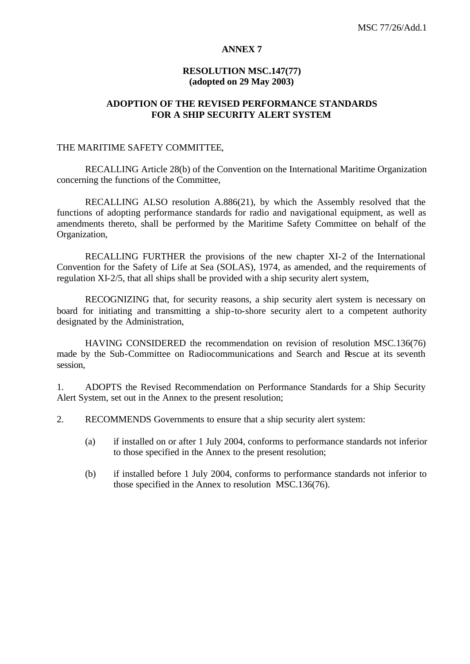#### **ANNEX 7**

## **RESOLUTION MSC.147(77) (adopted on 29 May 2003)**

# **ADOPTION OF THE REVISED PERFORMANCE STANDARDS FOR A SHIP SECURITY ALERT SYSTEM**

#### THE MARITIME SAFETY COMMITTEE,

RECALLING Article 28(b) of the Convention on the International Maritime Organization concerning the functions of the Committee,

RECALLING ALSO resolution A.886(21), by which the Assembly resolved that the functions of adopting performance standards for radio and navigational equipment, as well as amendments thereto, shall be performed by the Maritime Safety Committee on behalf of the Organization,

RECALLING FURTHER the provisions of the new chapter XI-2 of the International Convention for the Safety of Life at Sea (SOLAS), 1974, as amended, and the requirements of regulation XI-2/5, that all ships shall be provided with a ship security alert system,

RECOGNIZING that, for security reasons, a ship security alert system is necessary on board for initiating and transmitting a ship-to-shore security alert to a competent authority designated by the Administration,

HAVING CONSIDERED the recommendation on revision of resolution MSC.136(76) made by the Sub-Committee on Radiocommunications and Search and Rescue at its seventh session,

1. ADOPTS the Revised Recommendation on Performance Standards for a Ship Security Alert System, set out in the Annex to the present resolution;

2. RECOMMENDS Governments to ensure that a ship security alert system:

- (a) if installed on or after 1 July 2004, conforms to performance standards not inferior to those specified in the Annex to the present resolution;
- (b) if installed before 1 July 2004, conforms to performance standards not inferior to those specified in the Annex to resolution MSC.136(76).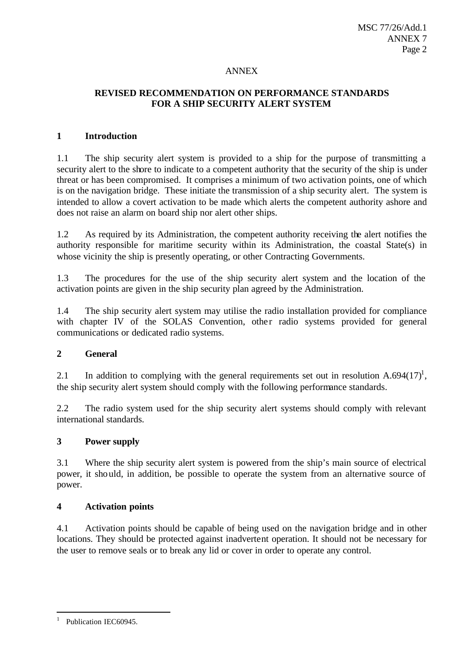## ANNEX

# **REVISED RECOMMENDATION ON PERFORMANCE STANDARDS FOR A SHIP SECURITY ALERT SYSTEM**

### **1 Introduction**

1.1 The ship security alert system is provided to a ship for the purpose of transmitting a security alert to the shore to indicate to a competent authority that the security of the ship is under threat or has been compromised. It comprises a minimum of two activation points, one of which is on the navigation bridge. These initiate the transmission of a ship security alert. The system is intended to allow a covert activation to be made which alerts the competent authority ashore and does not raise an alarm on board ship nor alert other ships.

1.2 As required by its Administration, the competent authority receiving the alert notifies the authority responsible for maritime security within its Administration, the coastal State(s) in whose vicinity the ship is presently operating, or other Contracting Governments.

1.3 The procedures for the use of the ship security alert system and the location of the activation points are given in the ship security plan agreed by the Administration.

1.4 The ship security alert system may utilise the radio installation provided for compliance with chapter IV of the SOLAS Convention, other radio systems provided for general communications or dedicated radio systems.

# **2 General**

2.1 In addition to complying with the general requirements set out in resolution A.694 $(17)^1$ , the ship security alert system should comply with the following performance standards.

2.2 The radio system used for the ship security alert systems should comply with relevant international standards.

## **3 Power supply**

3.1 Where the ship security alert system is powered from the ship's main source of electrical power, it should, in addition, be possible to operate the system from an alternative source of power.

## **4 Activation points**

4.1 Activation points should be capable of being used on the navigation bridge and in other locations. They should be protected against inadvertent operation. It should not be necessary for the user to remove seals or to break any lid or cover in order to operate any control.

l

<sup>1</sup> Publication IEC60945.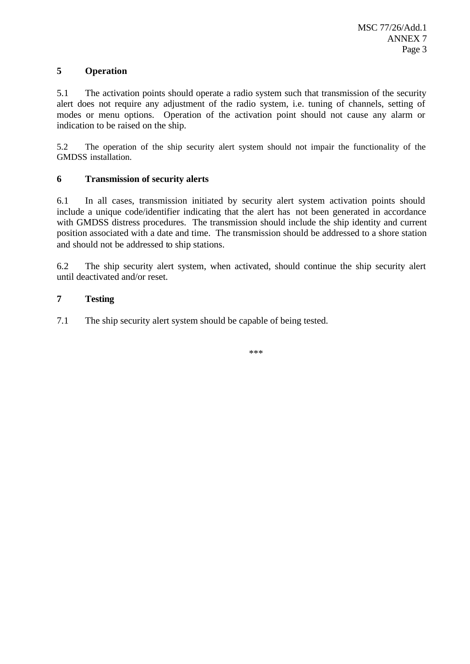# **5 Operation**

5.1 The activation points should operate a radio system such that transmission of the security alert does not require any adjustment of the radio system, i.e. tuning of channels, setting of modes or menu options. Operation of the activation point should not cause any alarm or indication to be raised on the ship.

5.2 The operation of the ship security alert system should not impair the functionality of the GMDSS installation.

# **6 Transmission of security alerts**

6.1 In all cases, transmission initiated by security alert system activation points should include a unique code/identifier indicating that the alert has not been generated in accordance with GMDSS distress procedures. The transmission should include the ship identity and current position associated with a date and time. The transmission should be addressed to a shore station and should not be addressed to ship stations.

6.2 The ship security alert system, when activated, should continue the ship security alert until deactivated and/or reset.

# **7 Testing**

7.1 The ship security alert system should be capable of being tested.

\*\*\*